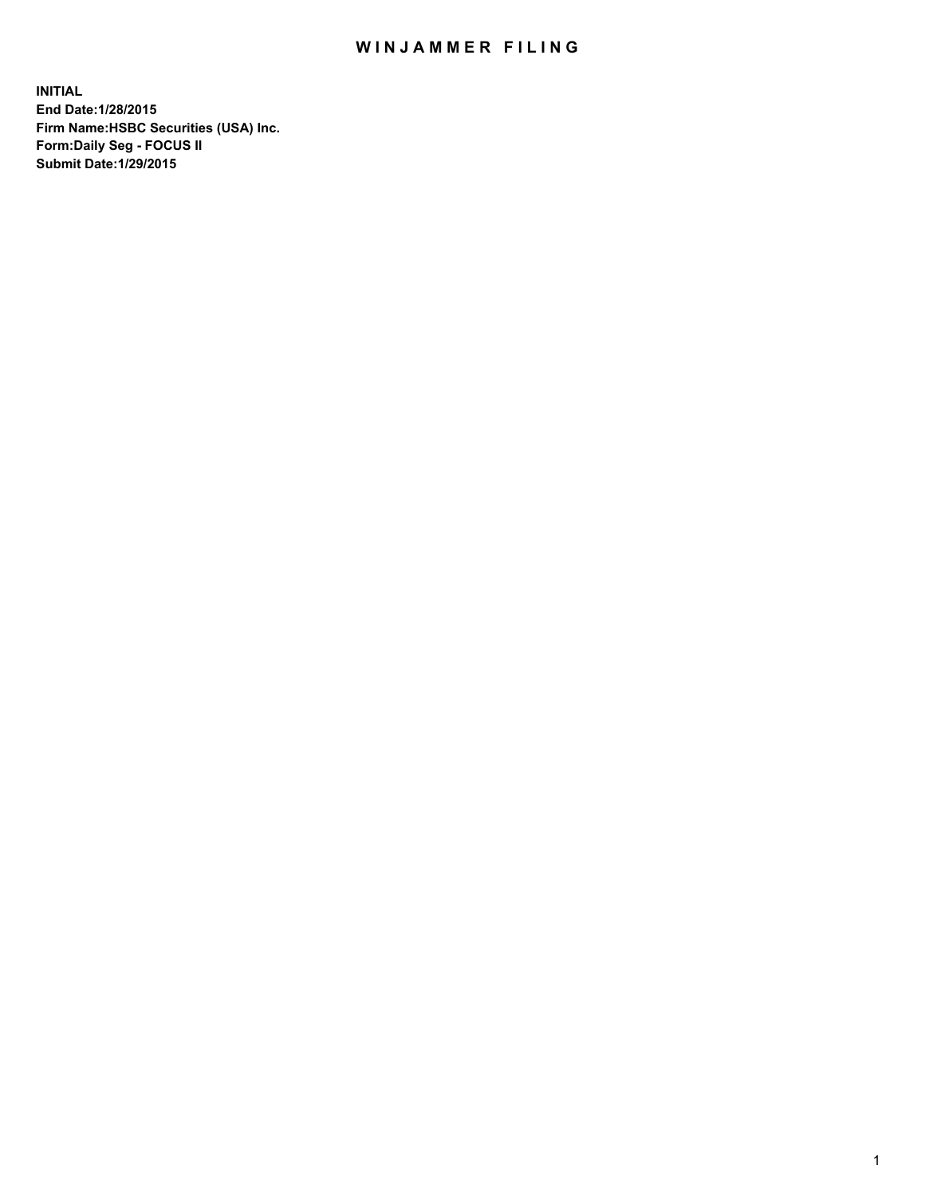## WIN JAMMER FILING

**INITIAL End Date:1/28/2015 Firm Name:HSBC Securities (USA) Inc. Form:Daily Seg - FOCUS II Submit Date:1/29/2015**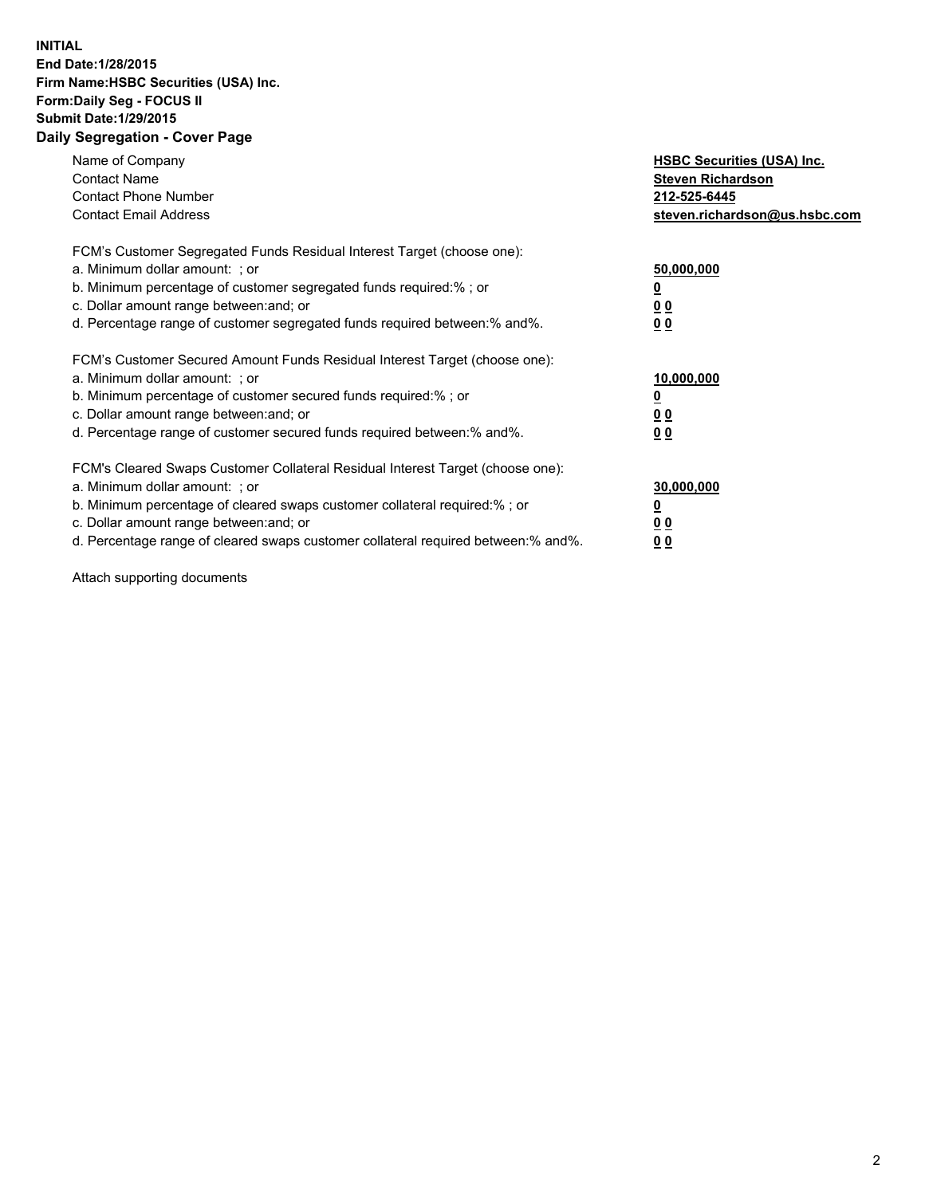## **INITIAL End Date:1/28/2015 Firm Name:HSBC Securities (USA) Inc. Form:Daily Seg - FOCUS II Submit Date:1/29/2015 Daily Segregation - Cover Page**

| Name of Company<br><b>Contact Name</b><br><b>Contact Phone Number</b><br><b>Contact Email Address</b>                                                                                                                                                                                                                          | <b>HSBC Securities (USA) Inc.</b><br><b>Steven Richardson</b><br>212-525-6445<br>steven.richardson@us.hsbc.com |
|--------------------------------------------------------------------------------------------------------------------------------------------------------------------------------------------------------------------------------------------------------------------------------------------------------------------------------|----------------------------------------------------------------------------------------------------------------|
| FCM's Customer Segregated Funds Residual Interest Target (choose one):<br>a. Minimum dollar amount: ; or<br>b. Minimum percentage of customer segregated funds required:%; or<br>c. Dollar amount range between: and; or<br>d. Percentage range of customer segregated funds required between: % and %.                        | 50,000,000<br>0 <sub>0</sub><br>0 <sub>0</sub>                                                                 |
| FCM's Customer Secured Amount Funds Residual Interest Target (choose one):<br>a. Minimum dollar amount: ; or<br>b. Minimum percentage of customer secured funds required:%; or<br>c. Dollar amount range between: and; or<br>d. Percentage range of customer secured funds required between:% and%.                            | 10,000,000<br><u>0</u><br>0 <sub>0</sub><br>0 <sub>0</sub>                                                     |
| FCM's Cleared Swaps Customer Collateral Residual Interest Target (choose one):<br>a. Minimum dollar amount: ; or<br>b. Minimum percentage of cleared swaps customer collateral required:% ; or<br>c. Dollar amount range between: and; or<br>d. Percentage range of cleared swaps customer collateral required between:% and%. | 30,000,000<br>00<br><u>00</u>                                                                                  |

Attach supporting documents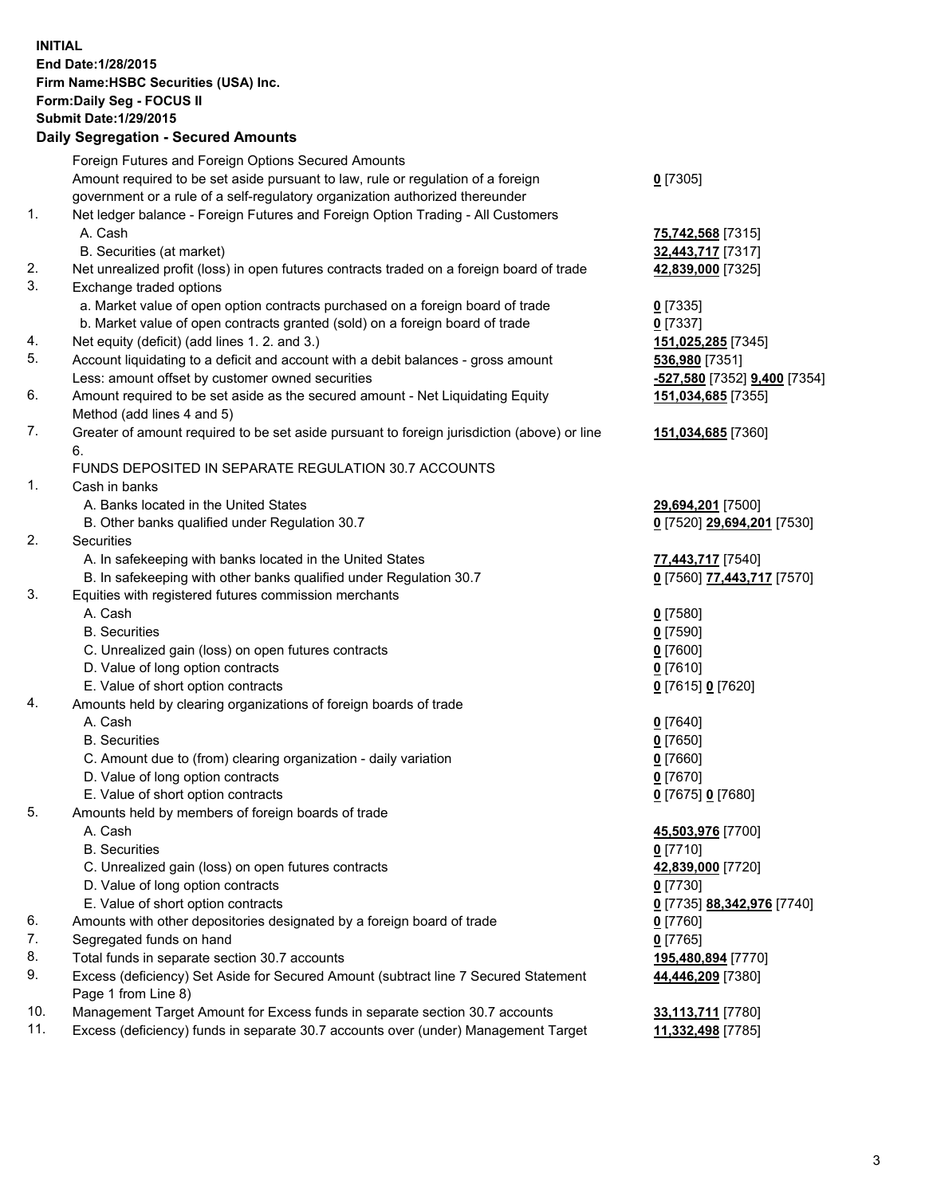**INITIAL End Date:1/28/2015 Firm Name:HSBC Securities (USA) Inc. Form:Daily Seg - FOCUS II Submit Date:1/29/2015 Daily Segregation - Secured Amounts**

|     | Foreign Futures and Foreign Options Secured Amounts                                         |                              |
|-----|---------------------------------------------------------------------------------------------|------------------------------|
|     | Amount required to be set aside pursuant to law, rule or regulation of a foreign            | $0$ [7305]                   |
|     | government or a rule of a self-regulatory organization authorized thereunder                |                              |
| 1.  | Net ledger balance - Foreign Futures and Foreign Option Trading - All Customers             |                              |
|     | A. Cash                                                                                     | 75,742,568 [7315]            |
|     | B. Securities (at market)                                                                   | 32,443,717 [7317]            |
| 2.  | Net unrealized profit (loss) in open futures contracts traded on a foreign board of trade   | 42,839,000 [7325]            |
| 3.  | Exchange traded options                                                                     |                              |
|     | a. Market value of open option contracts purchased on a foreign board of trade              | $0$ [7335]                   |
|     | b. Market value of open contracts granted (sold) on a foreign board of trade                | $0$ [7337]                   |
| 4.  | Net equity (deficit) (add lines 1.2. and 3.)                                                | 151,025,285 [7345]           |
| 5.  | Account liquidating to a deficit and account with a debit balances - gross amount           | 536,980 [7351]               |
|     | Less: amount offset by customer owned securities                                            | -527,580 [7352] 9,400 [7354] |
| 6.  | Amount required to be set aside as the secured amount - Net Liquidating Equity              | 151,034,685 [7355]           |
|     | Method (add lines 4 and 5)                                                                  |                              |
| 7.  | Greater of amount required to be set aside pursuant to foreign jurisdiction (above) or line | 151,034,685 [7360]           |
|     | 6.                                                                                          |                              |
|     | FUNDS DEPOSITED IN SEPARATE REGULATION 30.7 ACCOUNTS                                        |                              |
| 1.  | Cash in banks                                                                               |                              |
|     | A. Banks located in the United States                                                       | 29,694,201 [7500]            |
|     | B. Other banks qualified under Regulation 30.7                                              | 0 [7520] 29,694,201 [7530]   |
| 2.  | Securities                                                                                  |                              |
|     | A. In safekeeping with banks located in the United States                                   | 77,443,717 [7540]            |
|     | B. In safekeeping with other banks qualified under Regulation 30.7                          | 0 [7560] 77,443,717 [7570]   |
| 3.  | Equities with registered futures commission merchants                                       |                              |
|     | A. Cash                                                                                     | $0$ [7580]                   |
|     | <b>B.</b> Securities                                                                        |                              |
|     |                                                                                             | $0$ [7590]                   |
|     | C. Unrealized gain (loss) on open futures contracts                                         | $0$ [7600]                   |
|     | D. Value of long option contracts                                                           | $0$ [7610]                   |
|     | E. Value of short option contracts                                                          | 0 [7615] 0 [7620]            |
| 4.  | Amounts held by clearing organizations of foreign boards of trade                           |                              |
|     | A. Cash                                                                                     | $0$ [7640]                   |
|     | <b>B.</b> Securities                                                                        | $0$ [7650]                   |
|     | C. Amount due to (from) clearing organization - daily variation                             | $0$ [7660]                   |
|     | D. Value of long option contracts                                                           | $0$ [7670]                   |
|     | E. Value of short option contracts                                                          | 0 [7675] 0 [7680]            |
| 5.  | Amounts held by members of foreign boards of trade                                          |                              |
|     | A. Cash                                                                                     | 45,503,976 [7700]            |
|     | <b>B.</b> Securities                                                                        | $0$ [7710]                   |
|     | C. Unrealized gain (loss) on open futures contracts                                         | 42,839,000 [7720]            |
|     | D. Value of long option contracts                                                           | $0$ [7730]                   |
|     | E. Value of short option contracts                                                          | 0 [7735] 88,342,976 [7740]   |
| 6.  | Amounts with other depositories designated by a foreign board of trade                      | $0$ [7760]                   |
| 7.  | Segregated funds on hand                                                                    | $0$ [7765]                   |
| 8.  | Total funds in separate section 30.7 accounts                                               | 195,480,894 [7770]           |
| 9.  | Excess (deficiency) Set Aside for Secured Amount (subtract line 7 Secured Statement         | 44,446,209 [7380]            |
|     | Page 1 from Line 8)                                                                         |                              |
| 10. | Management Target Amount for Excess funds in separate section 30.7 accounts                 | 33,113,711 [7780]            |
| 11. | Excess (deficiency) funds in separate 30.7 accounts over (under) Management Target          | 11,332,498 [7785]            |
|     |                                                                                             |                              |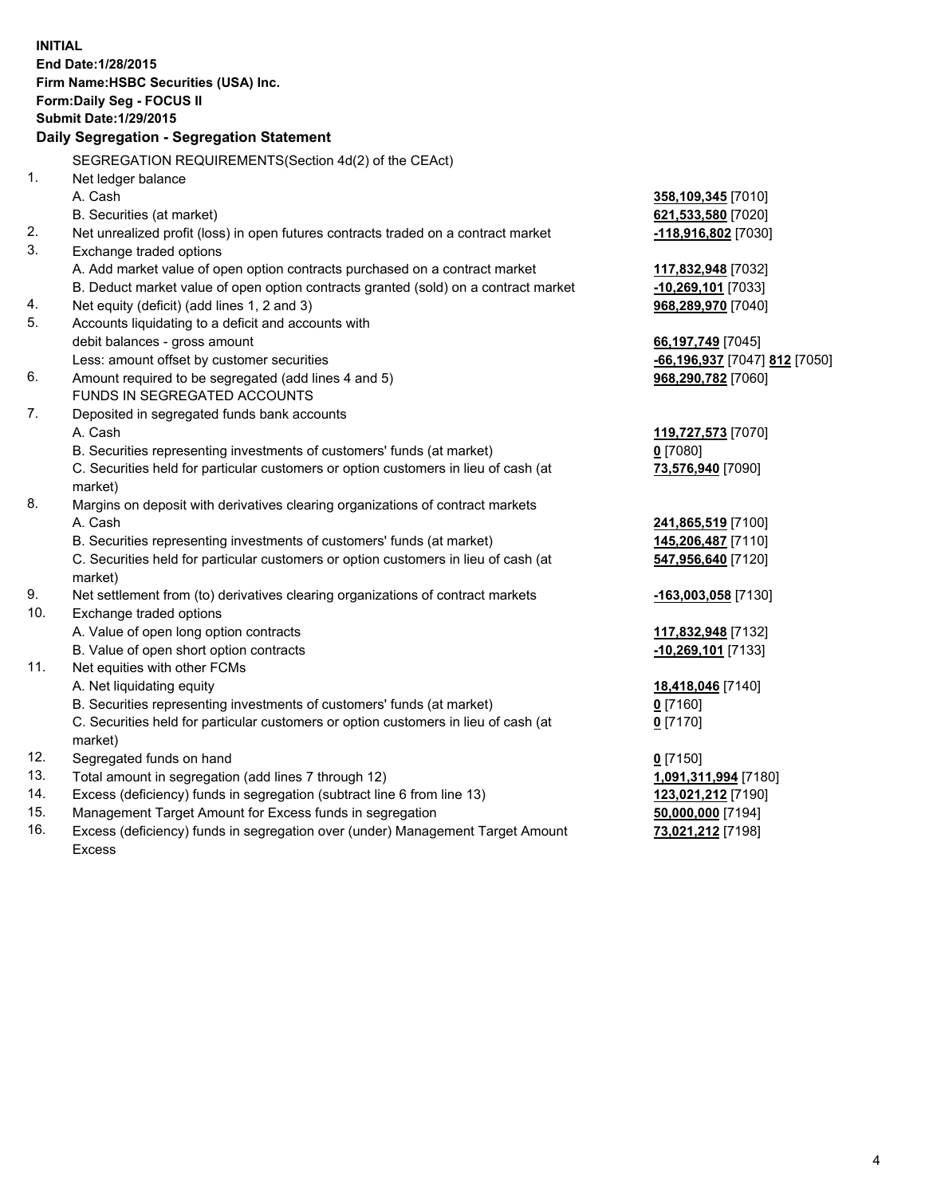| <b>INITIAL</b>                        |                                                                                                |                               |  |  |
|---------------------------------------|------------------------------------------------------------------------------------------------|-------------------------------|--|--|
|                                       | End Date: 1/28/2015                                                                            |                               |  |  |
| Firm Name: HSBC Securities (USA) Inc. |                                                                                                |                               |  |  |
| Form: Daily Seg - FOCUS II            |                                                                                                |                               |  |  |
|                                       | <b>Submit Date: 1/29/2015</b>                                                                  |                               |  |  |
|                                       | Daily Segregation - Segregation Statement                                                      |                               |  |  |
|                                       | SEGREGATION REQUIREMENTS(Section 4d(2) of the CEAct)                                           |                               |  |  |
| 1.                                    | Net ledger balance                                                                             |                               |  |  |
|                                       | A. Cash                                                                                        | 358,109,345 [7010]            |  |  |
|                                       | B. Securities (at market)                                                                      | 621,533,580 [7020]            |  |  |
| 2.                                    | Net unrealized profit (loss) in open futures contracts traded on a contract market             | -118,916,802 [7030]           |  |  |
| 3.                                    | Exchange traded options                                                                        |                               |  |  |
|                                       | A. Add market value of open option contracts purchased on a contract market                    | 117,832,948 [7032]            |  |  |
|                                       | B. Deduct market value of open option contracts granted (sold) on a contract market            | $-10,269,101$ [7033]          |  |  |
| 4.                                    | Net equity (deficit) (add lines 1, 2 and 3)                                                    | 968,289,970 [7040]            |  |  |
| 5.                                    | Accounts liquidating to a deficit and accounts with                                            |                               |  |  |
|                                       | debit balances - gross amount                                                                  | 66,197,749 [7045]             |  |  |
|                                       | Less: amount offset by customer securities                                                     | -66,196,937 [7047] 812 [7050] |  |  |
| 6.                                    | Amount required to be segregated (add lines 4 and 5)                                           | 968,290,782 [7060]            |  |  |
|                                       | FUNDS IN SEGREGATED ACCOUNTS                                                                   |                               |  |  |
| 7.                                    | Deposited in segregated funds bank accounts                                                    |                               |  |  |
|                                       | A. Cash                                                                                        | 119,727,573 [7070]            |  |  |
|                                       | B. Securities representing investments of customers' funds (at market)                         | $0$ [7080]                    |  |  |
|                                       | C. Securities held for particular customers or option customers in lieu of cash (at            | 73,576,940 [7090]             |  |  |
|                                       | market)                                                                                        |                               |  |  |
| 8.                                    | Margins on deposit with derivatives clearing organizations of contract markets                 |                               |  |  |
|                                       | A. Cash                                                                                        | 241,865,519 [7100]            |  |  |
|                                       | B. Securities representing investments of customers' funds (at market)                         | 145,206,487 [7110]            |  |  |
|                                       | C. Securities held for particular customers or option customers in lieu of cash (at<br>market) | 547,956,640 [7120]            |  |  |
| 9.                                    | Net settlement from (to) derivatives clearing organizations of contract markets                | -163,003,058 [7130]           |  |  |
| 10.                                   | Exchange traded options                                                                        |                               |  |  |
|                                       | A. Value of open long option contracts                                                         | 117,832,948 [7132]            |  |  |
|                                       | B. Value of open short option contracts                                                        | 10,269,101 [7133]             |  |  |
| 11.                                   | Net equities with other FCMs                                                                   |                               |  |  |
|                                       | A. Net liquidating equity                                                                      | 18,418,046 [7140]             |  |  |
|                                       | B. Securities representing investments of customers' funds (at market)                         | $0$ [7160]                    |  |  |
|                                       | C. Securities held for particular customers or option customers in lieu of cash (at            | $0$ [7170]                    |  |  |
|                                       | market)                                                                                        |                               |  |  |
| 12.                                   | Segregated funds on hand                                                                       | $0$ [7150]                    |  |  |
| 13.                                   | Total amount in segregation (add lines 7 through 12)                                           | 1,091,311,994 [7180]          |  |  |
| 14.                                   | Excess (deficiency) funds in segregation (subtract line 6 from line 13)                        | 123,021,212 [7190]            |  |  |
| 15.                                   | Management Target Amount for Excess funds in segregation                                       | 50,000,000 [7194]             |  |  |
| 16.                                   | Excess (deficiency) funds in segregation over (under) Management Target Amount                 | 73,021,212 [7198]             |  |  |

Excess

4